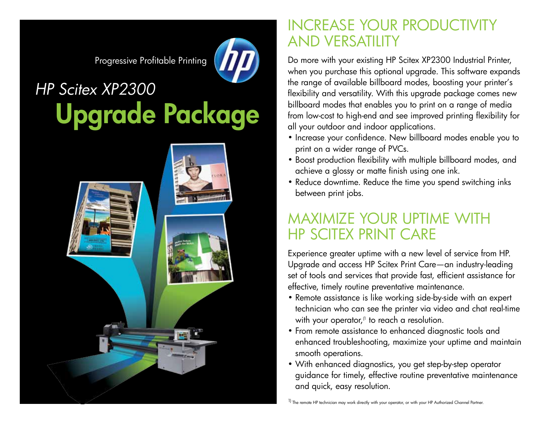Progressive Profitable Printing



## *2300 HP Scitex XP2300* Upgrade Package



## **INCREASE YOUR PRODUCTIVITY AND VERSATILITY**

Do more with your existing HP Scitex XP2300 Industrial Printer, when you purchase this optional upgrade. This software expands the range of available billboard modes, boosting your printer's flexibility and versatility. With this upgrade package comes new billboard modes that enables you to print on a range of media from low-cost to high-end and see improved printing flexibility for all your outdoor and indoor applications.

- Increase your confidence. New billboard modes enable you to print on a wider range of PVCs.
- Boost production flexibility with multiple billboard modes, and achieve a glossy or matte finish using one ink.
- Reduce downtime. Reduce the time you spend switching inks between print jobs.

## **MAXIMIZE YOUR UPTIME WITH HP SCITEX PRINT CARE**

Experience greater uptime with a new level of service from HP. Upgrade and access HP Scitex Print Care — an industry leading set of tools and services that provide fast, efficient assistance for effective, timely routine preventative maintenance.

- Remote assistance is like working side-by-side with an expert technician who can see the printer via video and chat real-time with your operator, $\theta$  to reach a resolution.
- From remote assistance to enhanced diagnostic tools and enhanced troubleshooting, maximize your uptime and maintain smooth operations.
- With enhanced diagnostics, you get step-by-step operator quidance for timely, effective routine preventative maintenance and quick, easy resolution.